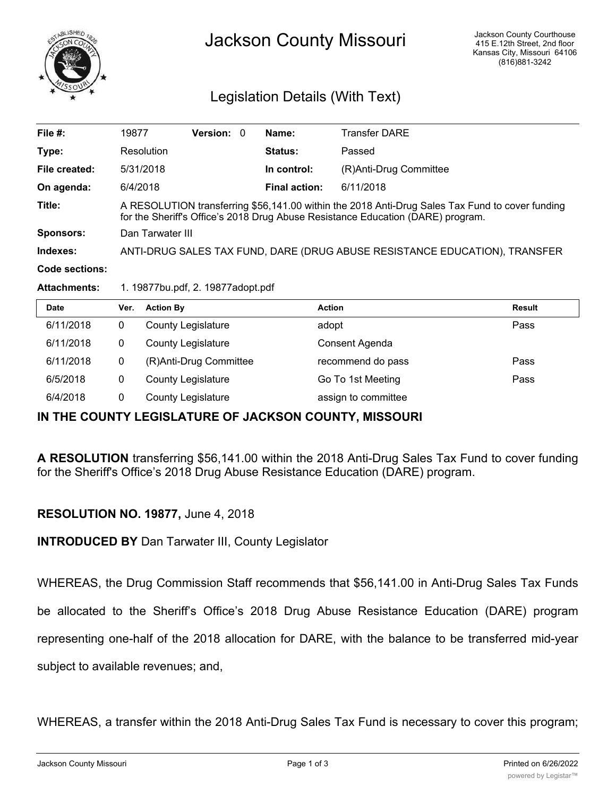

# Legislation Details (With Text)

| File $#$ :          | 19877                                                                                                                                                                              | <b>Version: 0</b> |  | Name:                | <b>Transfer DARE</b>   |  |  |
|---------------------|------------------------------------------------------------------------------------------------------------------------------------------------------------------------------------|-------------------|--|----------------------|------------------------|--|--|
| Type:               | Resolution<br><b>Status:</b><br>Passed                                                                                                                                             |                   |  |                      |                        |  |  |
| File created:       | 5/31/2018                                                                                                                                                                          |                   |  | In control:          | (R)Anti-Drug Committee |  |  |
| On agenda:          | 6/4/2018                                                                                                                                                                           |                   |  | <b>Final action:</b> | 6/11/2018              |  |  |
| Title:              | A RESOLUTION transferring \$56,141.00 within the 2018 Anti-Drug Sales Tax Fund to cover funding<br>for the Sheriff's Office's 2018 Drug Abuse Resistance Education (DARE) program. |                   |  |                      |                        |  |  |
| Sponsors:           | Dan Tarwater III                                                                                                                                                                   |                   |  |                      |                        |  |  |
| Indexes:            | ANTI-DRUG SALES TAX FUND, DARE (DRUG ABUSE RESISTANCE EDUCATION), TRANSFER                                                                                                         |                   |  |                      |                        |  |  |
| Code sections:      |                                                                                                                                                                                    |                   |  |                      |                        |  |  |
| <b>Attachments:</b> | 1. 19877bu.pdf, 2. 19877adopt.pdf                                                                                                                                                  |                   |  |                      |                        |  |  |

| Date      | Ver. | <b>Action By</b>          | <b>Action</b>       | <b>Result</b> |
|-----------|------|---------------------------|---------------------|---------------|
| 6/11/2018 | 0    | <b>County Legislature</b> | adopt               | Pass          |
| 6/11/2018 | 0    | <b>County Legislature</b> | Consent Agenda      |               |
| 6/11/2018 | 0    | (R)Anti-Drug Committee    | recommend do pass   | Pass          |
| 6/5/2018  | 0    | <b>County Legislature</b> | Go To 1st Meeting   | Pass          |
| 6/4/2018  | 0    | <b>County Legislature</b> | assign to committee |               |

### **IN THE COUNTY LEGISLATURE OF JACKSON COUNTY, MISSOURI**

**A RESOLUTION** transferring \$56,141.00 within the 2018 Anti-Drug Sales Tax Fund to cover funding for the Sheriff's Office's 2018 Drug Abuse Resistance Education (DARE) program.

### **RESOLUTION NO. 19877,** June 4, 2018

**INTRODUCED BY** Dan Tarwater III, County Legislator

WHEREAS, the Drug Commission Staff recommends that \$56,141.00 in Anti-Drug Sales Tax Funds be allocated to the Sheriff's Office's 2018 Drug Abuse Resistance Education (DARE) program representing one-half of the 2018 allocation for DARE, with the balance to be transferred mid-year subject to available revenues; and,

WHEREAS, a transfer within the 2018 Anti-Drug Sales Tax Fund is necessary to cover this program;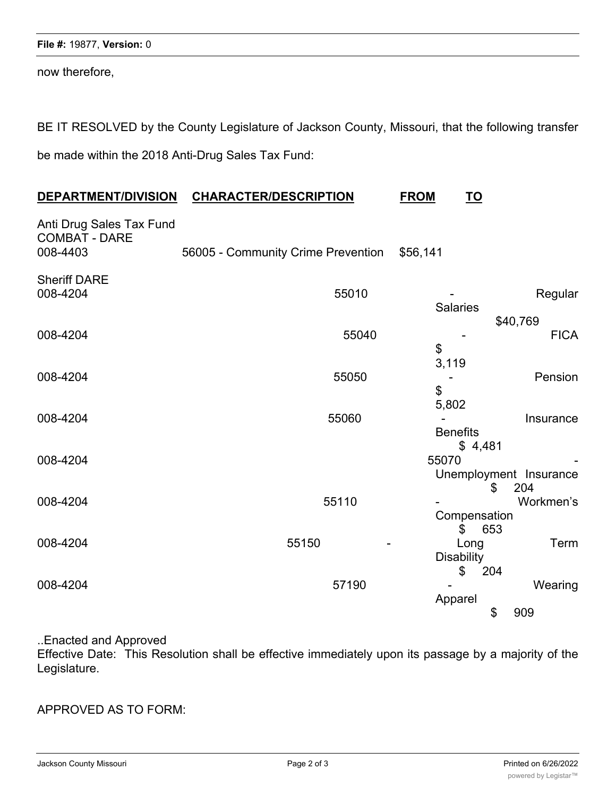now therefore,

BE IT RESOLVED by the County Legislature of Jackson County, Missouri, that the following transfer be made within the 2018 Anti-Drug Sales Tax Fund:

| DEPARTMENT/DIVISION                                          | <b>CHARACTER/DESCRIPTION</b>       |       | <b>FROM</b>              | <u>TO</u>                     |                         |
|--------------------------------------------------------------|------------------------------------|-------|--------------------------|-------------------------------|-------------------------|
| Anti Drug Sales Tax Fund<br><b>COMBAT - DARE</b><br>008-4403 | 56005 - Community Crime Prevention |       | \$56,141                 |                               |                         |
| <b>Sheriff DARE</b><br>008-4204                              |                                    | 55010 | <b>Salaries</b>          |                               | Regular                 |
| 008-4204                                                     |                                    | 55040 | \$                       |                               | \$40,769<br><b>FICA</b> |
| 008-4204                                                     |                                    | 55050 | 3,119<br>\$              |                               | Pension                 |
| 008-4204                                                     |                                    | 55060 | 5,802<br><b>Benefits</b> |                               | Insurance               |
| 008-4204                                                     |                                    |       | 55070                    | \$4,481                       | Unemployment Insurance  |
| 008-4204                                                     |                                    | 55110 |                          | \$<br>Compensation            | 204<br>Workmen's        |
| 008-4204                                                     | 55150                              |       | <b>Disability</b>        | $\mathfrak{S}$<br>653<br>Long | Term                    |
| 008-4204                                                     |                                    | 57190 | Apparel                  | 204<br>\$<br>\$               | Wearing<br>909          |

### ..Enacted and Approved

Effective Date: This Resolution shall be effective immediately upon its passage by a majority of the Legislature.

## APPROVED AS TO FORM: